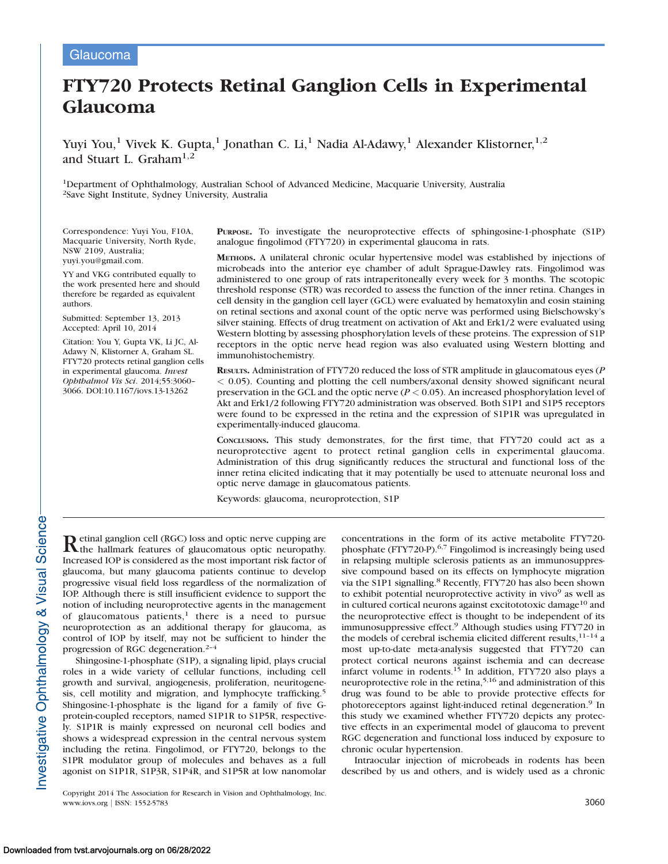# FTY720 Protects Retinal Ganglion Cells in Experimental Glaucoma

Yuyi You,<sup>1</sup> Vivek K. Gupta,<sup>1</sup> Jonathan C. Li,<sup>1</sup> Nadia Al-Adawy,<sup>1</sup> Alexander Klistorner,<sup>1,2</sup> and Stuart L. Graham<sup>1,2</sup>

1Department of Ophthalmology, Australian School of Advanced Medicine, Macquarie University, Australia 2Save Sight Institute, Sydney University, Australia

Correspondence: Yuyi You, F10A, Macquarie University, North Ryde, NSW 2109, Australia; yuyi.you@gmail.com.

YY and VKG contributed equally to the work presented here and should therefore be regarded as equivalent authors.

Submitted: September 13, 2013 Accepted: April 10, 2014

Citation: You Y, Gupta VK, Li JC, Al-Adawy N, Klistorner A, Graham SL. FTY720 protects retinal ganglion cells in experimental glaucoma. Invest Ophthalmol Vis Sci. 2014;55:3060– 3066. DOI:10.1167/iovs.13-13262

PURPOSE. To investigate the neuroprotective effects of sphingosine-1-phosphate (S1P) analogue fingolimod (FTY720) in experimental glaucoma in rats.

METHODS. A unilateral chronic ocular hypertensive model was established by injections of microbeads into the anterior eye chamber of adult Sprague-Dawley rats. Fingolimod was administered to one group of rats intraperitoneally every week for 3 months. The scotopic threshold response (STR) was recorded to assess the function of the inner retina. Changes in cell density in the ganglion cell layer (GCL) were evaluated by hematoxylin and eosin staining on retinal sections and axonal count of the optic nerve was performed using Bielschowsky's silver staining. Effects of drug treatment on activation of Akt and Erk1/2 were evaluated using Western blotting by assessing phosphorylation levels of these proteins. The expression of S1P receptors in the optic nerve head region was also evaluated using Western blotting and immunohistochemistry.

RESULTS. Administration of FTY720 reduced the loss of STR amplitude in glaucomatous eyes (P < 0.05). Counting and plotting the cell numbers/axonal density showed significant neural preservation in the GCL and the optic nerve ( $P < 0.05$ ). An increased phosphorylation level of Akt and Erk1/2 following FTY720 administration was observed. Both S1P1 and S1P5 receptors were found to be expressed in the retina and the expression of S1P1R was upregulated in experimentally-induced glaucoma.

CONCLUSIONS. This study demonstrates, for the first time, that FTY720 could act as a neuroprotective agent to protect retinal ganglion cells in experimental glaucoma. Administration of this drug significantly reduces the structural and functional loss of the inner retina elicited indicating that it may potentially be used to attenuate neuronal loss and optic nerve damage in glaucomatous patients.

Keywords: glaucoma, neuroprotection, S1P

Retinal ganglion cell (RGC) loss and optic nerve cupping are the hallmark features of glaucomatous optic neuropathy. Increased IOP is considered as the most important risk factor of glaucoma, but many glaucoma patients continue to develop progressive visual field loss regardless of the normalization of IOP. Although there is still insufficient evidence to support the notion of including neuroprotective agents in the management of glaucomatous patients, $1$  there is a need to pursue neuroprotection as an additional therapy for glaucoma, as control of IOP by itself, may not be sufficient to hinder the progression of RGC degeneration.<sup>2-4</sup>

Shingosine-1-phosphate (S1P), a signaling lipid, plays crucial roles in a wide variety of cellular functions, including cell growth and survival, angiogenesis, proliferation, neuritogenesis, cell motility and migration, and lymphocyte trafficking.<sup>5</sup> Shingosine-1-phosphate is the ligand for a family of five Gprotein-coupled receptors, named S1P1R to S1P5R, respectively. S1P1R is mainly expressed on neuronal cell bodies and shows a widespread expression in the central nervous system including the retina. Fingolimod, or FTY720, belongs to the S1PR modulator group of molecules and behaves as a full agonist on S1P1R, S1P3R, S1P4R, and S1P5R at low nanomolar

Copyright 2014 The Association for Research in Vision and Ophthalmology, Inc. www.iovs.org | ISSN: 1552-5783 3060

concentrations in the form of its active metabolite FTY720 phosphate (FTY720-P).6,7 Fingolimod is increasingly being used in relapsing multiple sclerosis patients as an immunosuppressive compound based on its effects on lymphocyte migration via the S1P1 signalling.<sup>8</sup> Recently, FTY720 has also been shown to exhibit potential neuroprotective activity in vivo<sup>9</sup> as well as in cultured cortical neurons against excitototoxic damage<sup>10</sup> and the neuroprotective effect is thought to be independent of its immunosuppressive effect.9 Although studies using FTY720 in the models of cerebral ischemia elicited different results,<sup>11-14</sup> a most up-to-date meta-analysis suggested that FTY720 can protect cortical neurons against ischemia and can decrease infarct volume in rodents. $15$  In addition, FTY720 also plays a neuroprotective role in the retina,<sup>5,16</sup> and administration of this drug was found to be able to provide protective effects for photoreceptors against light-induced retinal degeneration.<sup>9</sup> In this study we examined whether FTY720 depicts any protective effects in an experimental model of glaucoma to prevent RGC degeneration and functional loss induced by exposure to chronic ocular hypertension.

Intraocular injection of microbeads in rodents has been described by us and others, and is widely used as a chronic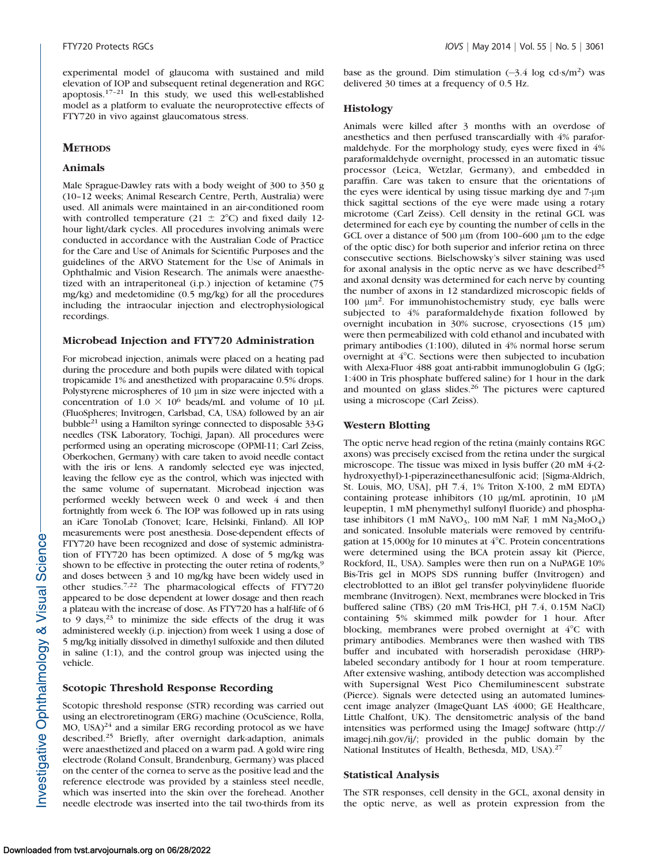experimental model of glaucoma with sustained and mild elevation of IOP and subsequent retinal degeneration and RGC apoptosis.17–21 In this study, we used this well-established model as a platform to evaluate the neuroprotective effects of FTY720 in vivo against glaucomatous stress.

### **METHODS**

### Animals

Male Sprague-Dawley rats with a body weight of 300 to 350 g (10–12 weeks; Animal Research Centre, Perth, Australia) were used. All animals were maintained in an air-conditioned room with controlled temperature (21  $\pm$  2°C) and fixed daily 12hour light/dark cycles. All procedures involving animals were conducted in accordance with the Australian Code of Practice for the Care and Use of Animals for Scientific Purposes and the guidelines of the ARVO Statement for the Use of Animals in Ophthalmic and Vision Research. The animals were anaesthetized with an intraperitoneal (i.p.) injection of ketamine (75 mg/kg) and medetomidine (0.5 mg/kg) for all the procedures including the intraocular injection and electrophysiological recordings.

#### Microbead Injection and FTY720 Administration

For microbead injection, animals were placed on a heating pad during the procedure and both pupils were dilated with topical tropicamide 1% and anesthetized with proparacaine 0.5% drops. Polystyrene microspheres of 10  $\mu$ m in size were injected with a concentration of  $1.0 \times 10^6$  beads/mL and volume of 10 µL (FluoSpheres; Invitrogen, Carlsbad, CA, USA) followed by an air bubble21 using a Hamilton syringe connected to disposable 33-G needles (TSK Laboratory, Tochigi, Japan). All procedures were performed using an operating microscope (OPMI-11; Carl Zeiss, Oberkochen, Germany) with care taken to avoid needle contact with the iris or lens. A randomly selected eye was injected, leaving the fellow eye as the control, which was injected with the same volume of supernatant. Microbead injection was performed weekly between week 0 and week 4 and then fortnightly from week 6. The IOP was followed up in rats using an iCare TonoLab (Tonovet; Icare, Helsinki, Finland). All IOP measurements were post anesthesia. Dose-dependent effects of FTY720 have been recognized and dose of systemic administration of FTY720 has been optimized. A dose of 5 mg/kg was shown to be effective in protecting the outer retina of rodents.<sup>9</sup> and doses between 3 and 10 mg/kg have been widely used in other studies.7,22 The pharmacological effects of FTY720 appeared to be dose dependent at lower dosage and then reach a plateau with the increase of dose. As FTY720 has a half-life of 6 to 9 days,  $23$  to minimize the side effects of the drug it was administered weekly (i.p. injection) from week 1 using a dose of 5 mg/kg initially dissolved in dimethyl sulfoxide and then diluted in saline (1:1), and the control group was injected using the vehicle.

## Scotopic Threshold Response Recording

Scotopic threshold response (STR) recording was carried out using an electroretinogram (ERG) machine (OcuScience, Rolla,  $MO$ , USA)<sup>24</sup> and a similar ERG recording protocol as we have described.<sup>25</sup> Briefly, after overnight dark-adaption, animals were anaesthetized and placed on a warm pad. A gold wire ring electrode (Roland Consult, Brandenburg, Germany) was placed on the center of the cornea to serve as the positive lead and the reference electrode was provided by a stainless steel needle, which was inserted into the skin over the forehead. Another needle electrode was inserted into the tail two-thirds from its

base as the ground. Dim stimulation  $(-3.4 \text{ log } \text{cd} \cdot \text{s/m}^2)$  was delivered 30 times at a frequency of 0.5 Hz.

#### Histology

Animals were killed after 3 months with an overdose of anesthetics and then perfused transcardially with 4% paraformaldehyde. For the morphology study, eyes were fixed in 4% paraformaldehyde overnight, processed in an automatic tissue processor (Leica, Wetzlar, Germany), and embedded in paraffin. Care was taken to ensure that the orientations of the eyes were identical by using tissue marking dye and 7-µm thick sagittal sections of the eye were made using a rotary microtome (Carl Zeiss). Cell density in the retinal GCL was determined for each eye by counting the number of cells in the GCL over a distance of 500  $\mu$ m (from 100–600  $\mu$ m to the edge of the optic disc) for both superior and inferior retina on three consecutive sections. Bielschowsky's silver staining was used for axonal analysis in the optic nerve as we have described<sup>25</sup> and axonal density was determined for each nerve by counting the number of axons in 12 standardized microscopic fields of 100  $\mu$ m<sup>2</sup>. For immunohistochemistry study, eye balls were subjected to 4% paraformaldehyde fixation followed by overnight incubation in 30% sucrose, cryosections (15 µm) were then permeabilized with cold ethanol and incubated with primary antibodies (1:100), diluted in 4% normal horse serum overnight at  $4^{\circ}$ C. Sections were then subjected to incubation with Alexa-Fluor 488 goat anti-rabbit immunoglobulin G (IgG; 1:400 in Tris phosphate buffered saline) for 1 hour in the dark and mounted on glass slides.<sup>26</sup> The pictures were captured using a microscope (Carl Zeiss).

#### Western Blotting

The optic nerve head region of the retina (mainly contains RGC axons) was precisely excised from the retina under the surgical microscope. The tissue was mixed in lysis buffer (20 mM 4-(2 hydroxyethyl)-1-piperazineethanesulfonic acid; [Sigma-Aldrich, St. Louis, MO, USA], pH 7.4, 1% Triton X-100, 2 mM EDTA) containing protease inhibitors (10  $\mu$ g/mL aprotinin, 10  $\mu$ M leupeptin, 1 mM phenymethyl sulfonyl fluoride) and phosphatase inhibitors (1 mM NaVO<sub>3</sub>, 100 mM NaF, 1 mM Na<sub>2</sub>MoO<sub>4</sub>) and sonicated. Insoluble materials were removed by centrifugation at  $15,000g$  for 10 minutes at  $4^{\circ}$ C. Protein concentrations were determined using the BCA protein assay kit (Pierce, Rockford, IL, USA). Samples were then run on a NuPAGE 10% Bis-Tris gel in MOPS SDS running buffer (Invitrogen) and electroblotted to an iBlot gel transfer polyvinylidene fluoride membrane (Invitrogen). Next, membranes were blocked in Tris buffered saline (TBS) (20 mM Tris-HCl, pH 7.4, 0.15M NaCl) containing 5% skimmed milk powder for 1 hour. After blocking, membranes were probed overnight at  $4^{\circ}$ C with primary antibodies. Membranes were then washed with TBS buffer and incubated with horseradish peroxidase (HRP) labeled secondary antibody for 1 hour at room temperature. After extensive washing, antibody detection was accomplished with Supersignal West Pico Chemiluminescent substrate (Pierce). Signals were detected using an automated luminescent image analyzer (ImageQuant LAS 4000; GE Healthcare, Little Chalfont, UK). The densitometric analysis of the band intensities was performed using the ImageJ software (http:// imagej.nih.gov/ij/; provided in the public domain by the National Institutes of Health, Bethesda, MD, USA).<sup>27</sup>

#### Statistical Analysis

The STR responses, cell density in the GCL, axonal density in the optic nerve, as well as protein expression from the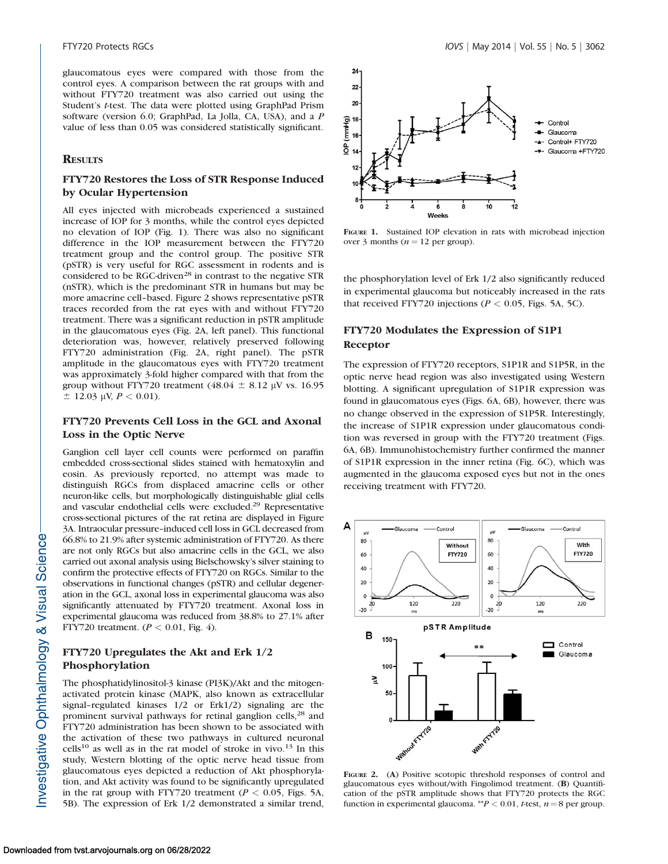glaucomatous eyes were compared with those from the control eyes. A comparison between the rat groups with and without FTY720 treatment was also carried out using the Student's t-test. The data were plotted using GraphPad Prism software (version 6.0; GraphPad, La Jolla, CA, USA), and a P value of less than 0.05 was considered statistically significant.

#### **RESULTS**

## FTY720 Restores the Loss of STR Response Induced by Ocular Hypertension

All eyes injected with microbeads experienced a sustained increase of IOP for 3 months, while the control eyes depicted no elevation of IOP (Fig. 1). There was also no significant difference in the IOP measurement between the FTY720 treatment group and the control group. The positive STR (pSTR) is very useful for RGC assessment in rodents and is considered to be RGC-driven<sup>28</sup> in contrast to the negative STR (nSTR), which is the predominant STR in humans but may be more amacrine cell–based. Figure 2 shows representative pSTR traces recorded from the rat eyes with and without FTY720 treatment. There was a significant reduction in pSTR amplitude in the glaucomatous eyes (Fig. 2A, left panel). This functional deterioration was, however, relatively preserved following FTY720 administration (Fig. 2A, right panel). The pSTR amplitude in the glaucomatous eyes with FTY720 treatment was approximately 3-fold higher compared with that from the group without FTY720 treatment (48.04  $\pm$  8.12 µV vs. 16.95  $\pm$  12.03 µV,  $P < 0.01$ ).

## FTY720 Prevents Cell Loss in the GCL and Axonal Loss in the Optic Nerve

Ganglion cell layer cell counts were performed on paraffin embedded cross-sectional slides stained with hematoxylin and eosin. As previously reported, no attempt was made to distinguish RGCs from displaced amacrine cells or other neuron-like cells, but morphologically distinguishable glial cells and vascular endothelial cells were excluded.29 Representative cross-sectional pictures of the rat retina are displayed in Figure 3A. Intraocular pressure–induced cell loss in GCL decreased from 66.8% to 21.9% after systemic administration of FTY720. As there are not only RGCs but also amacrine cells in the GCL, we also carried out axonal analysis using Bielschowsky's silver staining to confirm the protective effects of FTY720 on RGCs. Similar to the observations in functional changes (pSTR) and cellular degeneration in the GCL, axonal loss in experimental glaucoma was also significantly attenuated by FTY720 treatment. Axonal loss in experimental glaucoma was reduced from 38.8% to 27.1% after FTY720 treatment. ( $P < 0.01$ , Fig. 4).

## FTY720 Upregulates the Akt and Erk 1/2 Phosphorylation

The phosphatidylinositol-3 kinase (PI3K)/Akt and the mitogenactivated protein kinase (MAPK, also known as extracellular signal–regulated kinases 1/2 or Erk1/2) signaling are the prominent survival pathways for retinal ganglion cells,<sup>28</sup> and FTY720 administration has been shown to be associated with the activation of these two pathways in cultured neuronal  $\text{cells}^{10}$  as well as in the rat model of stroke in vivo.<sup>13</sup> In this study, Western blotting of the optic nerve head tissue from glaucomatous eyes depicted a reduction of Akt phosphorylation, and Akt activity was found to be significantly upregulated in the rat group with FTY720 treatment ( $P < 0.05$ , Figs. 5A, 5B). The expression of Erk 1/2 demonstrated a similar trend,



FIGURE 1. Sustained IOP elevation in rats with microbead injection over 3 months ( $n = 12$  per group).

the phosphorylation level of Erk 1/2 also significantly reduced in experimental glaucoma but noticeably increased in the rats that received FTY720 injections ( $P < 0.05$ , Figs. 5A, 5C).

## FTY720 Modulates the Expression of S1P1 Receptor

The expression of FTY720 receptors, S1P1R and S1P5R, in the optic nerve head region was also investigated using Western blotting. A significant upregulation of S1P1R expression was found in glaucomatous eyes (Figs. 6A, 6B), however, there was no change observed in the expression of S1P5R. Interestingly, the increase of S1P1R expression under glaucomatous condition was reversed in group with the FTY720 treatment (Figs. 6A, 6B). Immunohistochemistry further confirmed the manner of S1P1R expression in the inner retina (Fig. 6C), which was augmented in the glaucoma exposed eyes but not in the ones receiving treatment with FTY720.



FIGURE 2. (A) Positive scotopic threshold responses of control and glaucomatous eyes without/with Fingolimod treatment. (B) Quantification of the pSTR amplitude shows that FTY720 protects the RGC function in experimental glaucoma. \*\*  $P < 0.01$ , t-test,  $n = 8$  per group.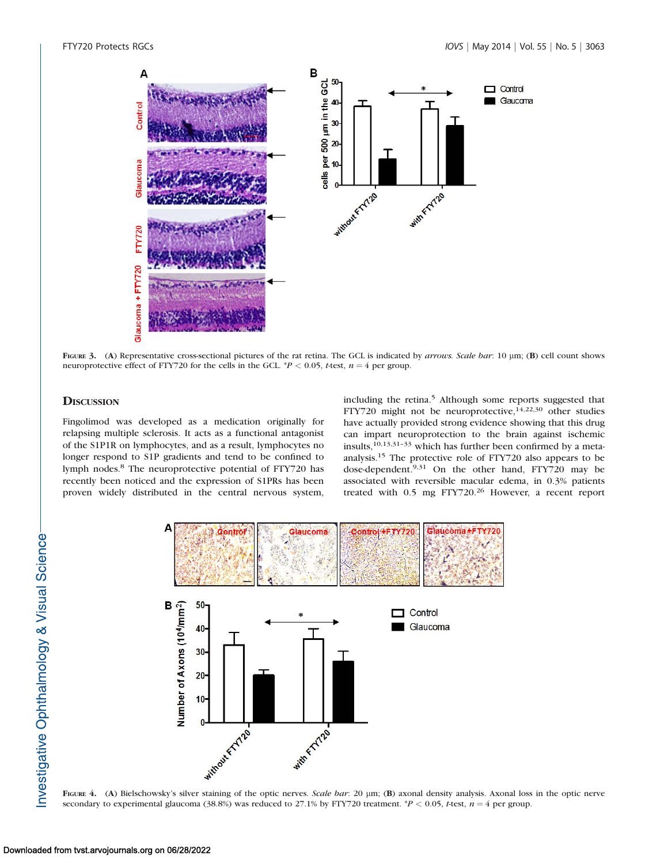

FIGURE 3. (A) Representative cross-sectional pictures of the rat retina. The GCL is indicated by arrows. Scale bar: 10 µm; (B) cell count shows neuroprotective effect of FTY720 for the cells in the GCL.  $P < 0.05$ , t-test,  $n = 4$  per group.

## **DISCUSSION**

Fingolimod was developed as a medication originally for relapsing multiple sclerosis. It acts as a functional antagonist of the S1P1R on lymphocytes, and as a result, lymphocytes no longer respond to S1P gradients and tend to be confined to lymph nodes.<sup>8</sup> The neuroprotective potential of FTY720 has recently been noticed and the expression of S1PRs has been proven widely distributed in the central nervous system,

including the retina.<sup>5</sup> Although some reports suggested that FTY720 might not be neuroprotective, $14,22,30$  other studies have actually provided strong evidence showing that this drug can impart neuroprotection to the brain against ischemic insults,10,13,31–33 which has further been confirmed by a metaanalysis.<sup>15</sup> The protective role of FTY720 also appears to be dose-dependent.9,31 On the other hand, FTY720 may be associated with reversible macular edema, in 0.3% patients treated with 0.5 mg FTY720.<sup>26</sup> However, a recent report



FIGURE 4. (A) Bielschowsky's silver staining of the optic nerves. Scale bar: 20 µm; (B) axonal density analysis. Axonal loss in the optic nerve secondary to experimental glaucoma (38.8%) was reduced to 27.1% by FTY720 treatment. \*P < 0.05, t-test,  $n = 4$  per group.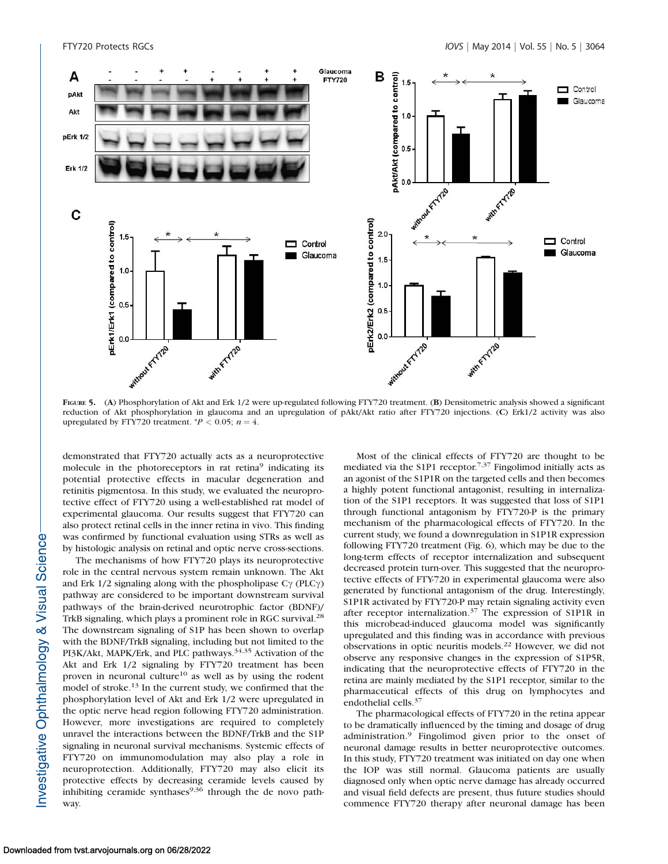

FIGURE 5. (A) Phosphorylation of Akt and Erk 1/2 were up-regulated following FTY720 treatment. (B) Densitometric analysis showed a significant reduction of Akt phosphorylation in glaucoma and an upregulation of pAkt/Akt ratio after FTY720 injections. (C) Erk1/2 activity was also upregulated by FTY720 treatment.  $^{*}P < 0.05$ ;  $n = 4$ .

demonstrated that FTY720 actually acts as a neuroprotective molecule in the photoreceptors in rat retina<sup>9</sup> indicating its potential protective effects in macular degeneration and retinitis pigmentosa. In this study, we evaluated the neuroprotective effect of FTY720 using a well-established rat model of experimental glaucoma. Our results suggest that FTY720 can also protect retinal cells in the inner retina in vivo. This finding was confirmed by functional evaluation using STRs as well as by histologic analysis on retinal and optic nerve cross-sections.

The mechanisms of how FTY720 plays its neuroprotective role in the central nervous system remain unknown. The Akt and Erk  $1/2$  signaling along with the phospholipase  $C\gamma$  (PLC $\gamma$ ) pathway are considered to be important downstream survival pathways of the brain-derived neurotrophic factor (BDNF)/ TrkB signaling, which plays a prominent role in RGC survival.<sup>28</sup> The downstream signaling of S1P has been shown to overlap with the BDNF/TrkB signaling, including but not limited to the PI3K/Akt, MAPK/Erk, and PLC pathways.34,35 Activation of the Akt and Erk 1/2 signaling by FTY720 treatment has been proven in neuronal culture<sup>10</sup> as well as by using the rodent model of stroke.<sup>13</sup> In the current study, we confirmed that the phosphorylation level of Akt and Erk 1/2 were upregulated in the optic nerve head region following FTY720 administration. However, more investigations are required to completely unravel the interactions between the BDNF/TrkB and the S1P signaling in neuronal survival mechanisms. Systemic effects of FTY720 on immunomodulation may also play a role in neuroprotection. Additionally, FTY720 may also elicit its protective effects by decreasing ceramide levels caused by inhibiting ceramide synthases $9,36$  through the de novo pathway.

Most of the clinical effects of FTY720 are thought to be mediated via the S1P1 receptor.7,37 Fingolimod initially acts as an agonist of the S1P1R on the targeted cells and then becomes a highly potent functional antagonist, resulting in internalization of the S1P1 receptors. It was suggested that loss of S1P1 through functional antagonism by FTY720-P is the primary mechanism of the pharmacological effects of FTY720. In the current study, we found a downregulation in S1P1R expression following FTY720 treatment (Fig. 6), which may be due to the long-term effects of receptor internalization and subsequent decreased protein turn-over. This suggested that the neuroprotective effects of FTY-720 in experimental glaucoma were also generated by functional antagonism of the drug. Interestingly, S1P1R activated by FTY720-P may retain signaling activity even after receptor internalization.<sup>37</sup> The expression of S1P1R in this microbead-induced glaucoma model was significantly upregulated and this finding was in accordance with previous observations in optic neuritis models.<sup>22</sup> However, we did not observe any responsive changes in the expression of S1P5R, indicating that the neuroprotective effects of FTY720 in the retina are mainly mediated by the S1P1 receptor, similar to the pharmaceutical effects of this drug on lymphocytes and endothelial cells.<sup>37</sup>

The pharmacological effects of FTY720 in the retina appear to be dramatically influenced by the timing and dosage of drug administration.<sup>9</sup> Fingolimod given prior to the onset of neuronal damage results in better neuroprotective outcomes. In this study, FTY720 treatment was initiated on day one when the IOP was still normal. Glaucoma patients are usually diagnosed only when optic nerve damage has already occurred and visual field defects are present, thus future studies should commence FTY720 therapy after neuronal damage has been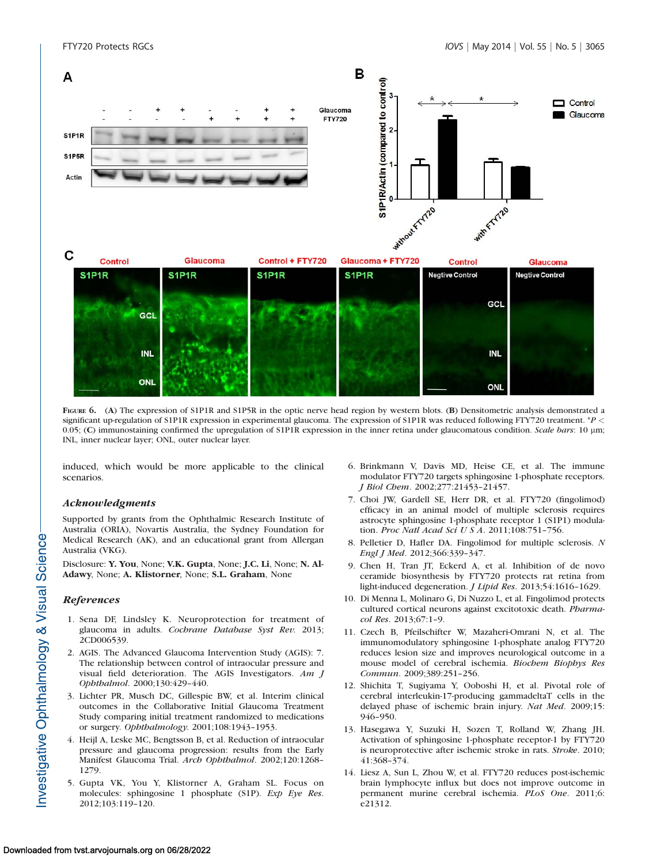

FIGURE 6. (A) The expression of S1P1R and S1P5R in the optic nerve head region by western blots. (B) Densitometric analysis demonstrated a significant up-regulation of S1P1R expression in experimental glaucoma. The expression of S1P1R was reduced following FTY720 treatment. \*P < 0.05; (C) immunostaining confirmed the upregulation of S1P1R expression in the inner retina under glaucomatous condition. Scale bars: 10 µm; INL, inner nuclear layer; ONL, outer nuclear layer.

induced, which would be more applicable to the clinical scenarios.

#### Acknowledgments

**ONL** 

Supported by grants from the Ophthalmic Research Institute of Australia (ORIA), Novartis Australia, the Sydney Foundation for Medical Research (AK), and an educational grant from Allergan Australia (VKG).

Disclosure: Y. You, None; V.K. Gupta, None; J.C. Li, None; N. Al-Adawy, None; A. Klistorner, None; S.L. Graham, None

#### **References**

- 1. Sena DF, Lindsley K. Neuroprotection for treatment of glaucoma in adults. Cochrane Database Syst Rev. 2013; 2CD006539.
- 2. AGIS. The Advanced Glaucoma Intervention Study (AGIS): 7. The relationship between control of intraocular pressure and visual field deterioration. The AGIS Investigators. Am J Ophthalmol. 2000;130:429–440.
- 3. Lichter PR, Musch DC, Gillespie BW, et al. Interim clinical outcomes in the Collaborative Initial Glaucoma Treatment Study comparing initial treatment randomized to medications or surgery. Ophthalmology. 2001;108:1943–1953.
- 4. Heijl A, Leske MC, Bengtsson B, et al. Reduction of intraocular pressure and glaucoma progression: results from the Early Manifest Glaucoma Trial. Arch Ophthalmol. 2002;120:1268– 1279.
- 5. Gupta VK, You Y, Klistorner A, Graham SL. Focus on molecules: sphingosine 1 phosphate (S1P). Exp Eye Res. 2012;103:119–120.

6. Brinkmann V, Davis MD, Heise CE, et al. The immune modulator FTY720 targets sphingosine 1-phosphate receptors. J Biol Chem. 2002;277:21453–21457.

ONL

- 7. Choi JW, Gardell SE, Herr DR, et al. FTY720 (fingolimod) efficacy in an animal model of multiple sclerosis requires astrocyte sphingosine 1-phosphate receptor 1 (S1P1) modulation. Proc Natl Acad Sci U S A. 2011;108:751–756.
- 8. Pelletier D, Hafler DA. Fingolimod for multiple sclerosis. N Engl J Med. 2012;366:339–347.
- 9. Chen H, Tran JT, Eckerd A, et al. Inhibition of de novo ceramide biosynthesis by FTY720 protects rat retina from light-induced degeneration. J Lipid Res. 2013;54:1616–1629.
- 10. Di Menna L, Molinaro G, Di Nuzzo L, et al. Fingolimod protects cultured cortical neurons against excitotoxic death. Pharmacol Res. 2013;67:1–9.
- 11. Czech B, Pfeilschifter W, Mazaheri-Omrani N, et al. The immunomodulatory sphingosine 1-phosphate analog FTY720 reduces lesion size and improves neurological outcome in a mouse model of cerebral ischemia. Biochem Biophys Res Commun. 2009;389:251–256.
- 12. Shichita T, Sugiyama Y, Ooboshi H, et al. Pivotal role of cerebral interleukin-17-producing gammadeltaT cells in the delayed phase of ischemic brain injury. Nat Med. 2009;15: 946–950.
- 13. Hasegawa Y, Suzuki H, Sozen T, Rolland W, Zhang JH. Activation of sphingosine 1-phosphate receptor-1 by FTY720 is neuroprotective after ischemic stroke in rats. Stroke. 2010; 41:368–374.
- 14. Liesz A, Sun L, Zhou W, et al. FTY720 reduces post-ischemic brain lymphocyte influx but does not improve outcome in permanent murine cerebral ischemia. PLoS One. 2011;6: e21312.